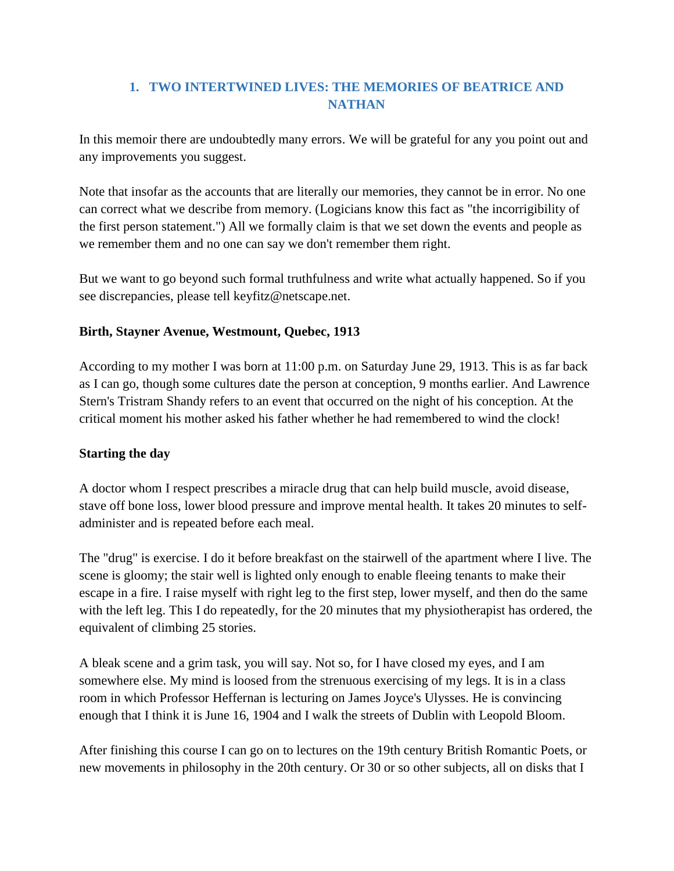# **1. TWO INTERTWINED LIVES: THE MEMORIES OF BEATRICE AND NATHAN**

In this memoir there are undoubtedly many errors. We will be grateful for any you point out and any improvements you suggest.

Note that insofar as the accounts that are literally our memories, they cannot be in error. No one can correct what we describe from memory. (Logicians know this fact as "the incorrigibility of the first person statement.") All we formally claim is that we set down the events and people as we remember them and no one can say we don't remember them right.

But we want to go beyond such formal truthfulness and write what actually happened. So if you see discrepancies, please tell keyfitz@netscape.net.

### **Birth, Stayner Avenue, Westmount, Quebec, 1913**

According to my mother I was born at 11:00 p.m. on Saturday June 29, 1913. This is as far back as I can go, though some cultures date the person at conception, 9 months earlier. And Lawrence Stern's Tristram Shandy refers to an event that occurred on the night of his conception. At the critical moment his mother asked his father whether he had remembered to wind the clock!

### **Starting the day**

A doctor whom I respect prescribes a miracle drug that can help build muscle, avoid disease, stave off bone loss, lower blood pressure and improve mental health. It takes 20 minutes to selfadminister and is repeated before each meal.

The "drug" is exercise. I do it before breakfast on the stairwell of the apartment where I live. The scene is gloomy; the stair well is lighted only enough to enable fleeing tenants to make their escape in a fire. I raise myself with right leg to the first step, lower myself, and then do the same with the left leg. This I do repeatedly, for the 20 minutes that my physiotherapist has ordered, the equivalent of climbing 25 stories.

A bleak scene and a grim task, you will say. Not so, for I have closed my eyes, and I am somewhere else. My mind is loosed from the strenuous exercising of my legs. It is in a class room in which Professor Heffernan is lecturing on James Joyce's Ulysses. He is convincing enough that I think it is June 16, 1904 and I walk the streets of Dublin with Leopold Bloom.

After finishing this course I can go on to lectures on the 19th century British Romantic Poets, or new movements in philosophy in the 20th century. Or 30 or so other subjects, all on disks that I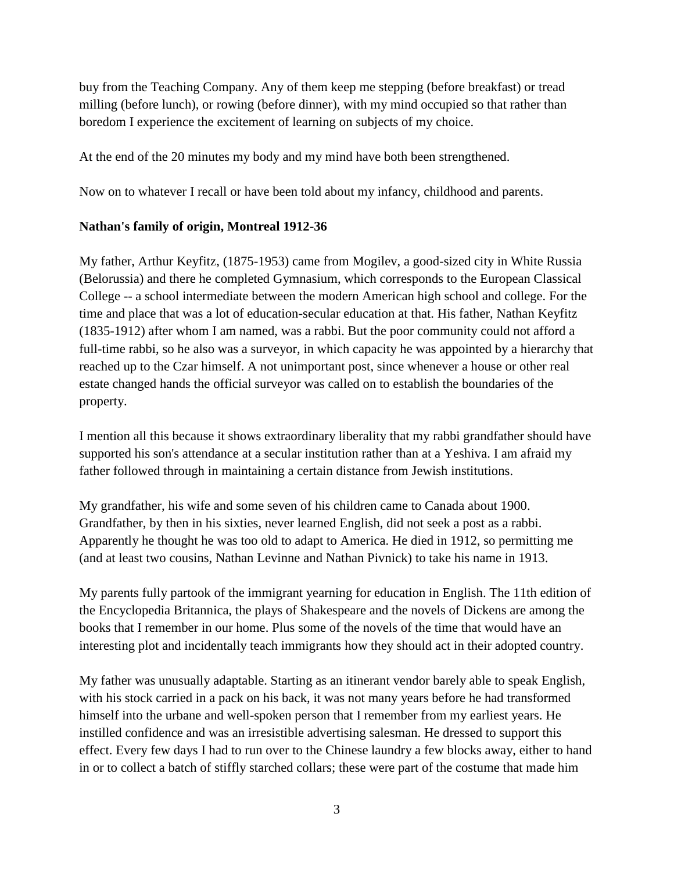buy from the Teaching Company. Any of them keep me stepping (before breakfast) or tread milling (before lunch), or rowing (before dinner), with my mind occupied so that rather than boredom I experience the excitement of learning on subjects of my choice.

At the end of the 20 minutes my body and my mind have both been strengthened.

Now on to whatever I recall or have been told about my infancy, childhood and parents.

### **Nathan's family of origin, Montreal 1912-36**

My father, Arthur Keyfitz, (1875-1953) came from Mogilev, a good-sized city in White Russia (Belorussia) and there he completed Gymnasium, which corresponds to the European Classical College -- a school intermediate between the modern American high school and college. For the time and place that was a lot of education-secular education at that. His father, Nathan Keyfitz (1835-1912) after whom I am named, was a rabbi. But the poor community could not afford a full-time rabbi, so he also was a surveyor, in which capacity he was appointed by a hierarchy that reached up to the Czar himself. A not unimportant post, since whenever a house or other real estate changed hands the official surveyor was called on to establish the boundaries of the property.

I mention all this because it shows extraordinary liberality that my rabbi grandfather should have supported his son's attendance at a secular institution rather than at a Yeshiva. I am afraid my father followed through in maintaining a certain distance from Jewish institutions.

My grandfather, his wife and some seven of his children came to Canada about 1900. Grandfather, by then in his sixties, never learned English, did not seek a post as a rabbi. Apparently he thought he was too old to adapt to America. He died in 1912, so permitting me (and at least two cousins, Nathan Levinne and Nathan Pivnick) to take his name in 1913.

My parents fully partook of the immigrant yearning for education in English. The 11th edition of the Encyclopedia Britannica, the plays of Shakespeare and the novels of Dickens are among the books that I remember in our home. Plus some of the novels of the time that would have an interesting plot and incidentally teach immigrants how they should act in their adopted country.

My father was unusually adaptable. Starting as an itinerant vendor barely able to speak English, with his stock carried in a pack on his back, it was not many years before he had transformed himself into the urbane and well-spoken person that I remember from my earliest years. He instilled confidence and was an irresistible advertising salesman. He dressed to support this effect. Every few days I had to run over to the Chinese laundry a few blocks away, either to hand in or to collect a batch of stiffly starched collars; these were part of the costume that made him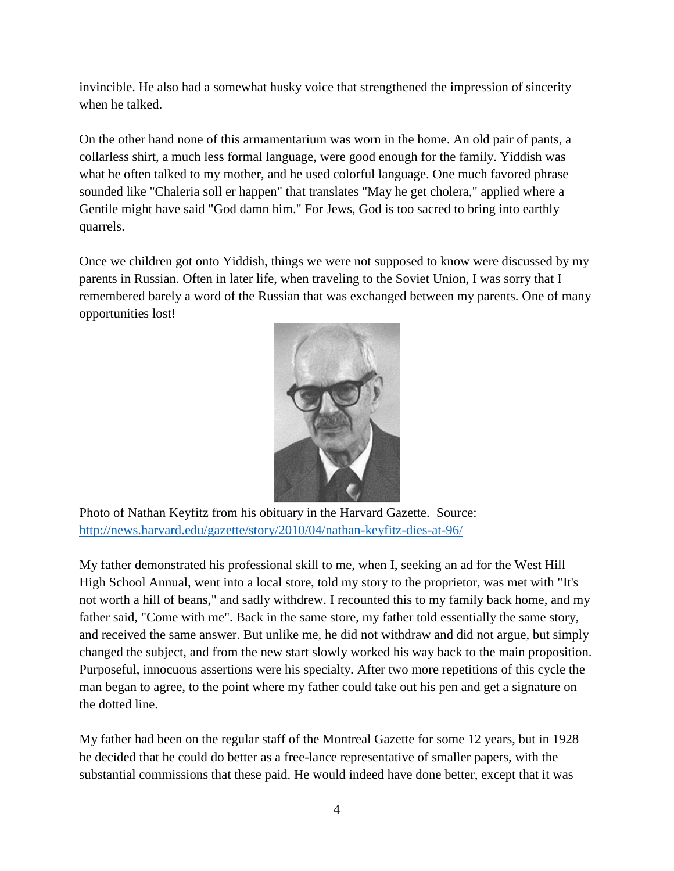invincible. He also had a somewhat husky voice that strengthened the impression of sincerity when he talked.

On the other hand none of this armamentarium was worn in the home. An old pair of pants, a collarless shirt, a much less formal language, were good enough for the family. Yiddish was what he often talked to my mother, and he used colorful language. One much favored phrase sounded like "Chaleria soll er happen" that translates "May he get cholera," applied where a Gentile might have said "God damn him." For Jews, God is too sacred to bring into earthly quarrels.

Once we children got onto Yiddish, things we were not supposed to know were discussed by my parents in Russian. Often in later life, when traveling to the Soviet Union, I was sorry that I remembered barely a word of the Russian that was exchanged between my parents. One of many opportunities lost!



Photo of Nathan Keyfitz from his obituary in the Harvard Gazette. Source: <http://news.harvard.edu/gazette/story/2010/04/nathan-keyfitz-dies-at-96/>

My father demonstrated his professional skill to me, when I, seeking an ad for the West Hill High School Annual, went into a local store, told my story to the proprietor, was met with "It's not worth a hill of beans," and sadly withdrew. I recounted this to my family back home, and my father said, "Come with me". Back in the same store, my father told essentially the same story, and received the same answer. But unlike me, he did not withdraw and did not argue, but simply changed the subject, and from the new start slowly worked his way back to the main proposition. Purposeful, innocuous assertions were his specialty. After two more repetitions of this cycle the man began to agree, to the point where my father could take out his pen and get a signature on the dotted line.

My father had been on the regular staff of the Montreal Gazette for some 12 years, but in 1928 he decided that he could do better as a free-lance representative of smaller papers, with the substantial commissions that these paid. He would indeed have done better, except that it was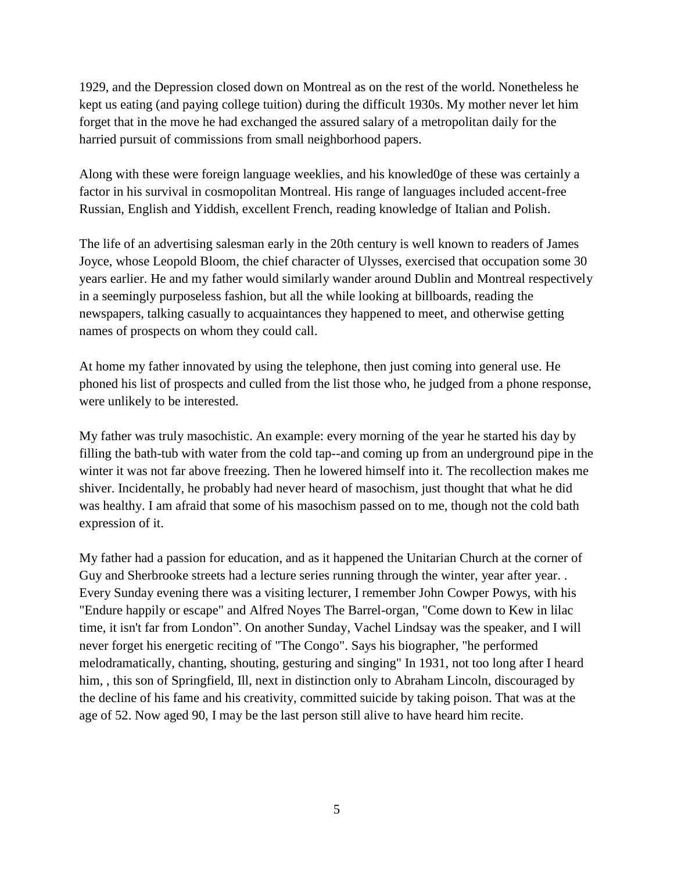1929, and the Depression closed down on Montreal as on the rest of the world. Nonetheless he kept us eating (and paying college tuition) during the difficult 1930s. My mother never let him forget that in the move he had exchanged the assured salary of a metropolitan daily for the harried pursuit of commissions from small neighborhood papers.

Along with these were foreign language weeklies, and his knowled0ge of these was certainly a factor in his survival in cosmopolitan Montreal. His range of languages included accent-free Russian, English and Yiddish, excellent French, reading knowledge of Italian and Polish.

The life of an advertising salesman early in the 20th century is well known to readers of James Joyce, whose Leopold Bloom, the chief character of Ulysses, exercised that occupation some 30 years earlier. He and my father would similarly wander around Dublin and Montreal respectively in a seemingly purposeless fashion, but all the while looking at billboards, reading the newspapers, talking casually to acquaintances they happened to meet, and otherwise getting names of prospects on whom they could call.

At home my father innovated by using the telephone, then just coming into general use. He phoned his list of prospects and culled from the list those who, he judged from a phone response, were unlikely to be interested.

My father was truly masochistic. An example: every morning of the year he started his day by filling the bath-tub with water from the cold tap--and coming up from an underground pipe in the winter it was not far above freezing. Then he lowered himself into it. The recollection makes me shiver. Incidentally, he probably had never heard of masochism, just thought that what he did was healthy. I am afraid that some of his masochism passed on to me, though not the cold bath expression of it.

My father had a passion for education, and as it happened the Unitarian Church at the corner of Guy and Sherbrooke streets had a lecture series running through the winter, year after year. . Every Sunday evening there was a visiting lecturer, I remember John Cowper Powys, with his "Endure happily or escape" and Alfred Noyes The Barrel-organ, "Come down to Kew in lilac time, it isn't far from London". On another Sunday, Vachel Lindsay was the speaker, and I will never forget his energetic reciting of "The Congo". Says his biographer, "he performed melodramatically, chanting, shouting, gesturing and singing" In 1931, not too long after I heard him, this son of Springfield, Ill, next in distinction only to Abraham Lincoln, discouraged by the decline of his fame and his creativity, committed suicide by taking poison. That was at the age of 52. Now aged 90, I may be the last person still alive to have heard him recite.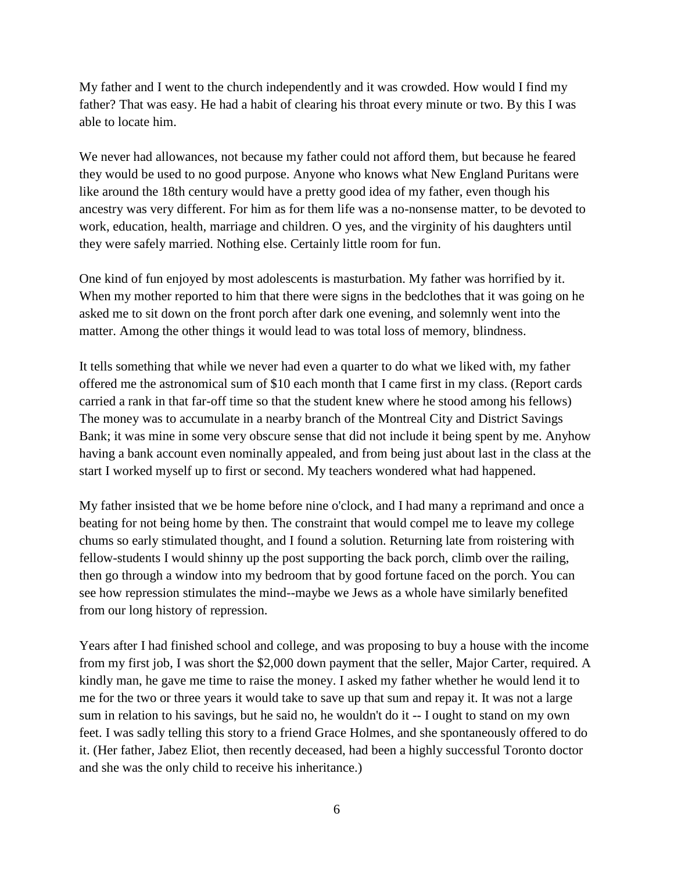My father and I went to the church independently and it was crowded. How would I find my father? That was easy. He had a habit of clearing his throat every minute or two. By this I was able to locate him.

We never had allowances, not because my father could not afford them, but because he feared they would be used to no good purpose. Anyone who knows what New England Puritans were like around the 18th century would have a pretty good idea of my father, even though his ancestry was very different. For him as for them life was a no-nonsense matter, to be devoted to work, education, health, marriage and children. O yes, and the virginity of his daughters until they were safely married. Nothing else. Certainly little room for fun.

One kind of fun enjoyed by most adolescents is masturbation. My father was horrified by it. When my mother reported to him that there were signs in the bedclothes that it was going on he asked me to sit down on the front porch after dark one evening, and solemnly went into the matter. Among the other things it would lead to was total loss of memory, blindness.

It tells something that while we never had even a quarter to do what we liked with, my father offered me the astronomical sum of \$10 each month that I came first in my class. (Report cards carried a rank in that far-off time so that the student knew where he stood among his fellows) The money was to accumulate in a nearby branch of the Montreal City and District Savings Bank; it was mine in some very obscure sense that did not include it being spent by me. Anyhow having a bank account even nominally appealed, and from being just about last in the class at the start I worked myself up to first or second. My teachers wondered what had happened.

My father insisted that we be home before nine o'clock, and I had many a reprimand and once a beating for not being home by then. The constraint that would compel me to leave my college chums so early stimulated thought, and I found a solution. Returning late from roistering with fellow-students I would shinny up the post supporting the back porch, climb over the railing, then go through a window into my bedroom that by good fortune faced on the porch. You can see how repression stimulates the mind--maybe we Jews as a whole have similarly benefited from our long history of repression.

Years after I had finished school and college, and was proposing to buy a house with the income from my first job, I was short the \$2,000 down payment that the seller, Major Carter, required. A kindly man, he gave me time to raise the money. I asked my father whether he would lend it to me for the two or three years it would take to save up that sum and repay it. It was not a large sum in relation to his savings, but he said no, he wouldn't do it -- I ought to stand on my own feet. I was sadly telling this story to a friend Grace Holmes, and she spontaneously offered to do it. (Her father, Jabez Eliot, then recently deceased, had been a highly successful Toronto doctor and she was the only child to receive his inheritance.)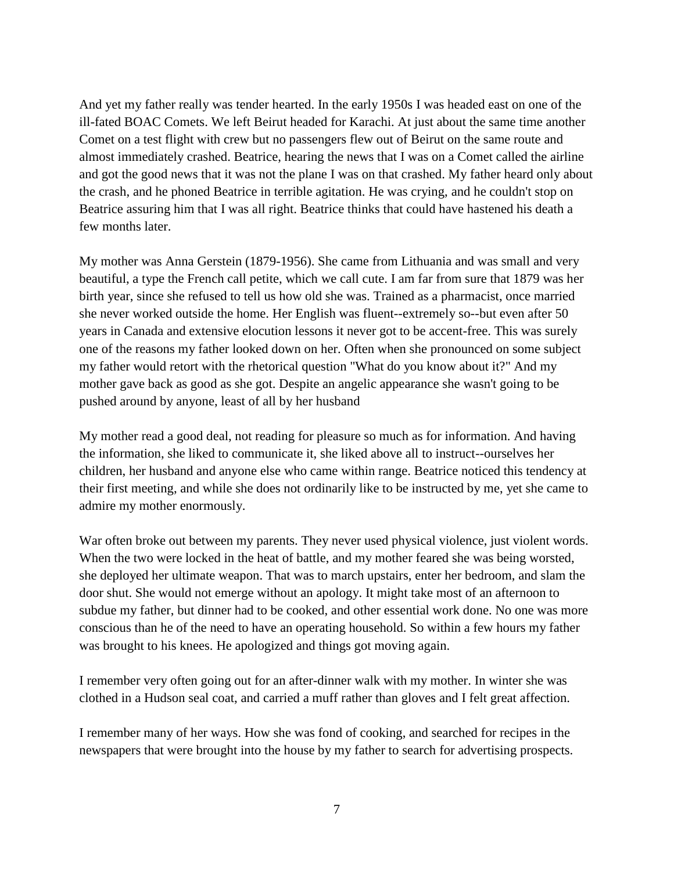And yet my father really was tender hearted. In the early 1950s I was headed east on one of the ill-fated BOAC Comets. We left Beirut headed for Karachi. At just about the same time another Comet on a test flight with crew but no passengers flew out of Beirut on the same route and almost immediately crashed. Beatrice, hearing the news that I was on a Comet called the airline and got the good news that it was not the plane I was on that crashed. My father heard only about the crash, and he phoned Beatrice in terrible agitation. He was crying, and he couldn't stop on Beatrice assuring him that I was all right. Beatrice thinks that could have hastened his death a few months later.

My mother was Anna Gerstein (1879-1956). She came from Lithuania and was small and very beautiful, a type the French call petite, which we call cute. I am far from sure that 1879 was her birth year, since she refused to tell us how old she was. Trained as a pharmacist, once married she never worked outside the home. Her English was fluent--extremely so--but even after 50 years in Canada and extensive elocution lessons it never got to be accent-free. This was surely one of the reasons my father looked down on her. Often when she pronounced on some subject my father would retort with the rhetorical question "What do you know about it?" And my mother gave back as good as she got. Despite an angelic appearance she wasn't going to be pushed around by anyone, least of all by her husband

My mother read a good deal, not reading for pleasure so much as for information. And having the information, she liked to communicate it, she liked above all to instruct--ourselves her children, her husband and anyone else who came within range. Beatrice noticed this tendency at their first meeting, and while she does not ordinarily like to be instructed by me, yet she came to admire my mother enormously.

War often broke out between my parents. They never used physical violence, just violent words. When the two were locked in the heat of battle, and my mother feared she was being worsted, she deployed her ultimate weapon. That was to march upstairs, enter her bedroom, and slam the door shut. She would not emerge without an apology. It might take most of an afternoon to subdue my father, but dinner had to be cooked, and other essential work done. No one was more conscious than he of the need to have an operating household. So within a few hours my father was brought to his knees. He apologized and things got moving again.

I remember very often going out for an after-dinner walk with my mother. In winter she was clothed in a Hudson seal coat, and carried a muff rather than gloves and I felt great affection.

I remember many of her ways. How she was fond of cooking, and searched for recipes in the newspapers that were brought into the house by my father to search for advertising prospects.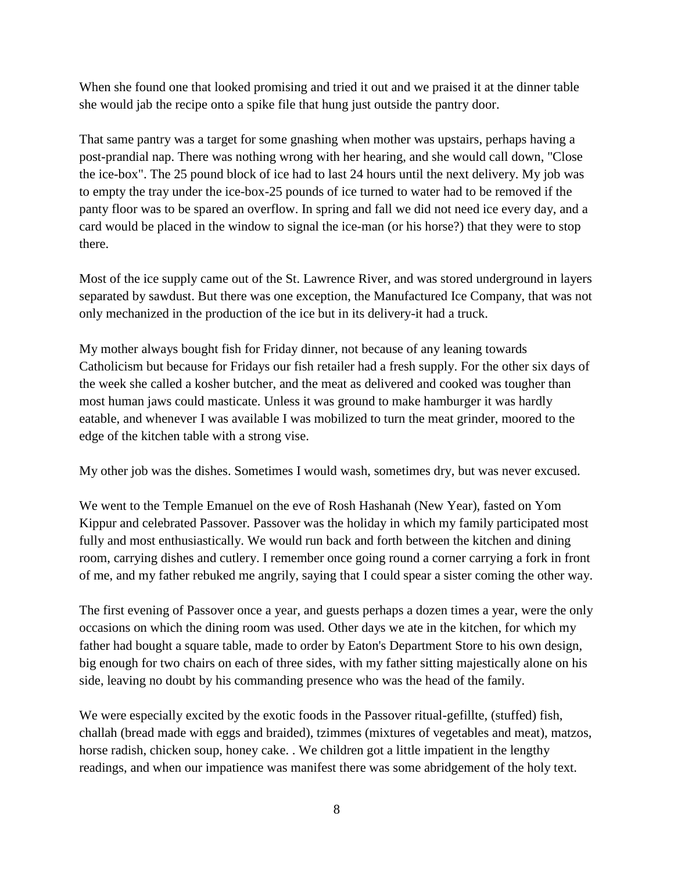When she found one that looked promising and tried it out and we praised it at the dinner table she would jab the recipe onto a spike file that hung just outside the pantry door.

That same pantry was a target for some gnashing when mother was upstairs, perhaps having a post-prandial nap. There was nothing wrong with her hearing, and she would call down, "Close the ice-box". The 25 pound block of ice had to last 24 hours until the next delivery. My job was to empty the tray under the ice-box-25 pounds of ice turned to water had to be removed if the panty floor was to be spared an overflow. In spring and fall we did not need ice every day, and a card would be placed in the window to signal the ice-man (or his horse?) that they were to stop there.

Most of the ice supply came out of the St. Lawrence River, and was stored underground in layers separated by sawdust. But there was one exception, the Manufactured Ice Company, that was not only mechanized in the production of the ice but in its delivery-it had a truck.

My mother always bought fish for Friday dinner, not because of any leaning towards Catholicism but because for Fridays our fish retailer had a fresh supply. For the other six days of the week she called a kosher butcher, and the meat as delivered and cooked was tougher than most human jaws could masticate. Unless it was ground to make hamburger it was hardly eatable, and whenever I was available I was mobilized to turn the meat grinder, moored to the edge of the kitchen table with a strong vise.

My other job was the dishes. Sometimes I would wash, sometimes dry, but was never excused.

We went to the Temple Emanuel on the eve of Rosh Hashanah (New Year), fasted on Yom Kippur and celebrated Passover. Passover was the holiday in which my family participated most fully and most enthusiastically. We would run back and forth between the kitchen and dining room, carrying dishes and cutlery. I remember once going round a corner carrying a fork in front of me, and my father rebuked me angrily, saying that I could spear a sister coming the other way.

The first evening of Passover once a year, and guests perhaps a dozen times a year, were the only occasions on which the dining room was used. Other days we ate in the kitchen, for which my father had bought a square table, made to order by Eaton's Department Store to his own design, big enough for two chairs on each of three sides, with my father sitting majestically alone on his side, leaving no doubt by his commanding presence who was the head of the family.

We were especially excited by the exotic foods in the Passover ritual-gefillte, (stuffed) fish, challah (bread made with eggs and braided), tzimmes (mixtures of vegetables and meat), matzos, horse radish, chicken soup, honey cake. . We children got a little impatient in the lengthy readings, and when our impatience was manifest there was some abridgement of the holy text.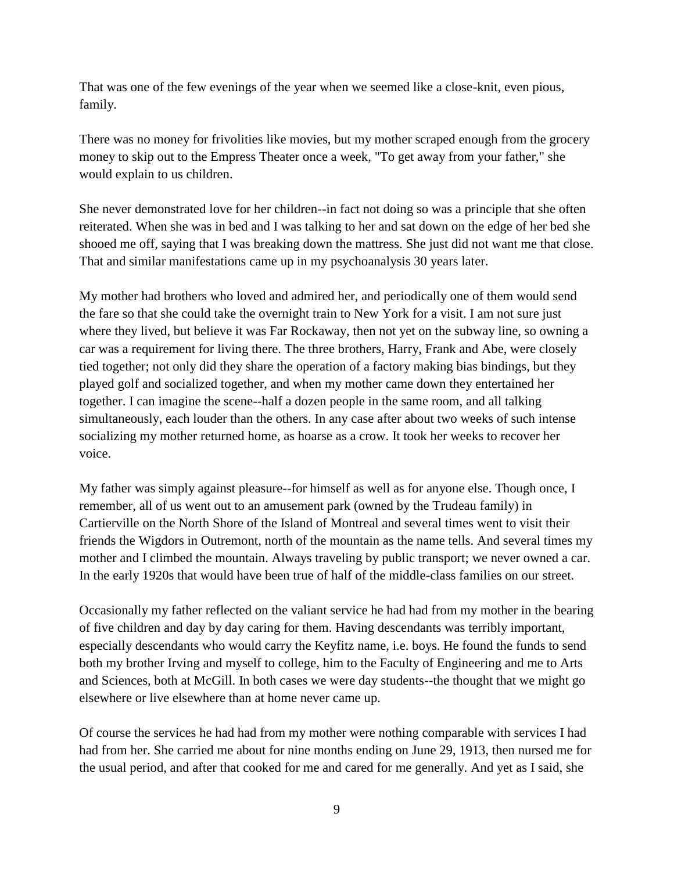That was one of the few evenings of the year when we seemed like a close-knit, even pious, family.

There was no money for frivolities like movies, but my mother scraped enough from the grocery money to skip out to the Empress Theater once a week, "To get away from your father," she would explain to us children.

She never demonstrated love for her children--in fact not doing so was a principle that she often reiterated. When she was in bed and I was talking to her and sat down on the edge of her bed she shooed me off, saying that I was breaking down the mattress. She just did not want me that close. That and similar manifestations came up in my psychoanalysis 30 years later.

My mother had brothers who loved and admired her, and periodically one of them would send the fare so that she could take the overnight train to New York for a visit. I am not sure just where they lived, but believe it was Far Rockaway, then not yet on the subway line, so owning a car was a requirement for living there. The three brothers, Harry, Frank and Abe, were closely tied together; not only did they share the operation of a factory making bias bindings, but they played golf and socialized together, and when my mother came down they entertained her together. I can imagine the scene--half a dozen people in the same room, and all talking simultaneously, each louder than the others. In any case after about two weeks of such intense socializing my mother returned home, as hoarse as a crow. It took her weeks to recover her voice.

My father was simply against pleasure--for himself as well as for anyone else. Though once, I remember, all of us went out to an amusement park (owned by the Trudeau family) in Cartierville on the North Shore of the Island of Montreal and several times went to visit their friends the Wigdors in Outremont, north of the mountain as the name tells. And several times my mother and I climbed the mountain. Always traveling by public transport; we never owned a car. In the early 1920s that would have been true of half of the middle-class families on our street.

Occasionally my father reflected on the valiant service he had had from my mother in the bearing of five children and day by day caring for them. Having descendants was terribly important, especially descendants who would carry the Keyfitz name, i.e. boys. He found the funds to send both my brother Irving and myself to college, him to the Faculty of Engineering and me to Arts and Sciences, both at McGill. In both cases we were day students--the thought that we might go elsewhere or live elsewhere than at home never came up.

Of course the services he had had from my mother were nothing comparable with services I had had from her. She carried me about for nine months ending on June 29, 1913, then nursed me for the usual period, and after that cooked for me and cared for me generally. And yet as I said, she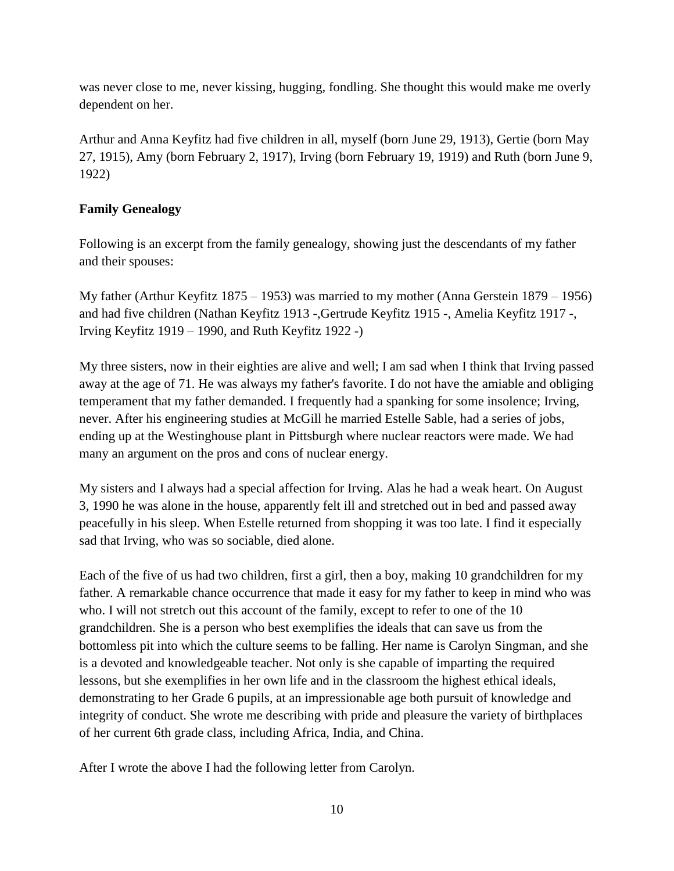was never close to me, never kissing, hugging, fondling. She thought this would make me overly dependent on her.

Arthur and Anna Keyfitz had five children in all, myself (born June 29, 1913), Gertie (born May 27, 1915), Amy (born February 2, 1917), Irving (born February 19, 1919) and Ruth (born June 9, 1922)

## **Family Genealogy**

Following is an excerpt from the family genealogy, showing just the descendants of my father and their spouses:

My father (Arthur Keyfitz 1875 – 1953) was married to my mother (Anna Gerstein 1879 – 1956) and had five children (Nathan Keyfitz 1913 -,Gertrude Keyfitz 1915 -, Amelia Keyfitz 1917 -, Irving Keyfitz 1919 – 1990, and Ruth Keyfitz 1922 -)

My three sisters, now in their eighties are alive and well; I am sad when I think that Irving passed away at the age of 71. He was always my father's favorite. I do not have the amiable and obliging temperament that my father demanded. I frequently had a spanking for some insolence; Irving, never. After his engineering studies at McGill he married Estelle Sable, had a series of jobs, ending up at the Westinghouse plant in Pittsburgh where nuclear reactors were made. We had many an argument on the pros and cons of nuclear energy.

My sisters and I always had a special affection for Irving. Alas he had a weak heart. On August 3, 1990 he was alone in the house, apparently felt ill and stretched out in bed and passed away peacefully in his sleep. When Estelle returned from shopping it was too late. I find it especially sad that Irving, who was so sociable, died alone.

Each of the five of us had two children, first a girl, then a boy, making 10 grandchildren for my father. A remarkable chance occurrence that made it easy for my father to keep in mind who was who. I will not stretch out this account of the family, except to refer to one of the 10 grandchildren. She is a person who best exemplifies the ideals that can save us from the bottomless pit into which the culture seems to be falling. Her name is Carolyn Singman, and she is a devoted and knowledgeable teacher. Not only is she capable of imparting the required lessons, but she exemplifies in her own life and in the classroom the highest ethical ideals, demonstrating to her Grade 6 pupils, at an impressionable age both pursuit of knowledge and integrity of conduct. She wrote me describing with pride and pleasure the variety of birthplaces of her current 6th grade class, including Africa, India, and China.

After I wrote the above I had the following letter from Carolyn.